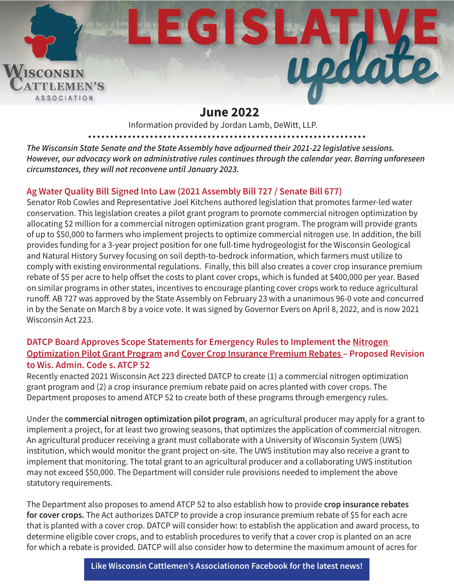

# **June 2022**

Information provided by Jordan Lamb, DeWitt, LLP.

*The Wisconsin State Senate and the State Assembly have adjourned their 2021-22 legislative sessions. However, our advocacy work on administrative rules continues through the calendar year. Barring unforeseen circumstances, they will not reconvene until January 2023.*

## **Ag Water Quality Bill Signed Into Law (2021 Assembly Bill 727 / Senate Bill 677)**

Senator Rob Cowles and Representative Joel Kitchens authored legislation that promotes farmer-led water conservation. This legislation creates a pilot grant program to promote commercial nitrogen optimization by allocating \$2 million for a commercial nitrogen optimization grant program. The program will provide grants of up to \$50,000 to farmers who implement projects to optimize commercial nitrogen use. In addition, the bill provides funding for a 3-year project position for one full-time hydrogeologist for the Wisconsin Geological and Natural History Survey focusing on soil depth-to-bedrock information, which farmers must utilize to comply with existing environmental regulations. Finally, this bill also creates a cover crop insurance premium rebate of \$5 per acre to help offset the costs to plant cover crops, which is funded at \$400,000 per year. Based on similar programs in other states, incentives to encourage planting cover crops work to reduce agricultural runoff. AB 727 was approved by the State Assembly on February 23 with a unanimous 96-0 vote and concurred in by the Senate on March 8 by a voice vote. It was signed by Governor Evers on April 8, 2022, and is now 2021 Wisconsin Act 223.

#### **DATCP Board Approves Scope Statements for Emergency Rules to Implement the Nitrogen Optimization Pilot Grant Program and Cover Crop Insurance Premium Rebates – Proposed Revision to Wis. Admin. Code s. ATCP 52**

Recently enacted 2021 Wisconsin Act 223 directed DATCP to create (1) a commercial nitrogen optimization grant program and (2) a crop insurance premium rebate paid on acres planted with cover crops. The Department proposes to amend ATCP 52 to create both of these programs through emergency rules.

Under the **commercial nitrogen optimization pilot program**, an agricultural producer may apply for a grant to implement a project, for at least two growing seasons, that optimizes the application of commercial nitrogen. An agricultural producer receiving a grant must collaborate with a University of Wisconsin System (UWS) institution, which would monitor the grant project on-site. The UWS institution may also receive a grant to implement that monitoring. The total grant to an agricultural producer and a collaborating UWS institution may not exceed \$50,000. The Department will consider rule provisions needed to implement the above statutory requirements.

The Department also proposes to amend ATCP 52 to also establish how to provide **crop insurance rebates for cover crops.** The Act authorizes DATCP to provide a crop insurance premium rebate of \$5 for each acre that is planted with a cover crop. DATCP will consider how: to establish the application and award process, to determine eligible cover crops, and to establish procedures to verify that a cover crop is planted on an acre for which a rebate is provided. DATCP will also consider how to determine the maximum amount of acres for